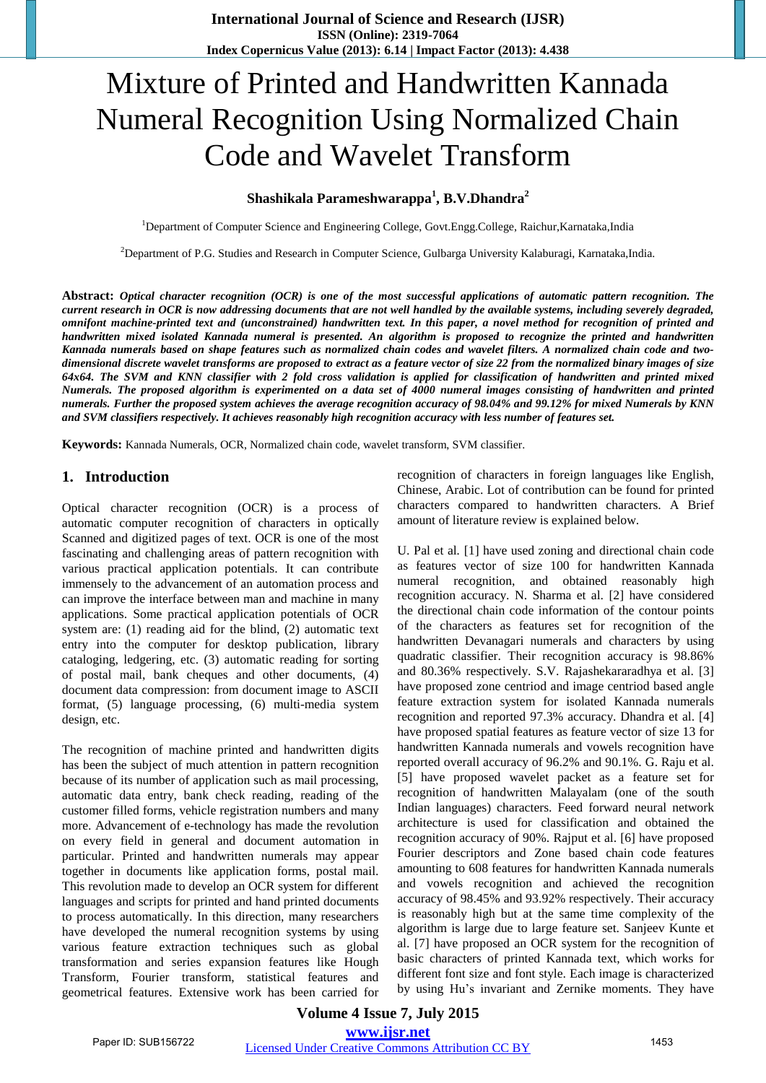# Mixture of Printed and Handwritten Kannada Numeral Recognition Using Normalized Chain Code and Wavelet Transform

# **Shashikala Parameshwarappa<sup>1</sup> , B.V.Dhandra<sup>2</sup>**

<sup>1</sup>Department of Computer Science and Engineering College, Govt.Engg.College, Raichur,Karnataka,India

<sup>2</sup>Department of P.G. Studies and Research in Computer Science, Gulbarga University Kalaburagi, Karnataka,India.

**Abstract:** *Optical character recognition (OCR) is one of the most successful applications of automatic pattern recognition. The current research in OCR is now addressing documents that are not well handled by the available systems, including severely degraded, omnifont machine-printed text and (unconstrained) handwritten text. In this paper, a novel method for recognition of printed and handwritten mixed isolated Kannada numeral is presented. An algorithm is proposed to recognize the printed and handwritten Kannada numerals based on shape features such as normalized chain codes and wavelet filters. A normalized chain code and twodimensional discrete wavelet transforms are proposed to extract as a feature vector of size 22 from the normalized binary images of size 64x64. The SVM and KNN classifier with 2 fold cross validation is applied for classification of handwritten and printed mixed Numerals. The proposed algorithm is experimented on a data set of 4000 numeral images consisting of handwritten and printed numerals. Further the proposed system achieves the average recognition accuracy of 98.04% and 99.12% for mixed Numerals by KNN and SVM classifiers respectively. It achieves reasonably high recognition accuracy with less number of features set.* 

**Keywords:** Kannada Numerals, OCR, Normalized chain code, wavelet transform, SVM classifier.

# **1. Introduction**

Optical character recognition (OCR) is a process of automatic computer recognition of characters in optically Scanned and digitized pages of text. OCR is one of the most fascinating and challenging areas of pattern recognition with various practical application potentials. It can contribute immensely to the advancement of an automation process and can improve the interface between man and machine in many applications. Some practical application potentials of OCR system are: (1) reading aid for the blind, (2) automatic text entry into the computer for desktop publication, library cataloging, ledgering, etc. (3) automatic reading for sorting of postal mail, bank cheques and other documents, (4) document data compression: from document image to ASCII format, (5) language processing, (6) multi-media system design, etc.

The recognition of machine printed and handwritten digits has been the subject of much attention in pattern recognition because of its number of application such as mail processing, automatic data entry, bank check reading, reading of the customer filled forms, vehicle registration numbers and many more. Advancement of e-technology has made the revolution on every field in general and document automation in particular. Printed and handwritten numerals may appear together in documents like application forms, postal mail. This revolution made to develop an OCR system for different languages and scripts for printed and hand printed documents to process automatically. In this direction, many researchers have developed the numeral recognition systems by using various feature extraction techniques such as global transformation and series expansion features like Hough Transform, Fourier transform, statistical features and geometrical features. Extensive work has been carried for recognition of characters in foreign languages like English, Chinese, Arabic. Lot of contribution can be found for printed characters compared to handwritten characters. A Brief amount of literature review is explained below.

U. Pal et al*.* [1] have used zoning and directional chain code as features vector of size 100 for handwritten Kannada numeral recognition, and obtained reasonably high recognition accuracy. N. Sharma et al. [2] have considered the directional chain code information of the contour points of the characters as features set for recognition of the handwritten Devanagari numerals and characters by using quadratic classifier. Their recognition accuracy is 98.86% and 80.36% respectively. S.V. Rajashekararadhya et al. [3] have proposed zone centriod and image centriod based angle feature extraction system for isolated Kannada numerals recognition and reported 97.3% accuracy. Dhandra et al. [4] have proposed spatial features as feature vector of size 13 for handwritten Kannada numerals and vowels recognition have reported overall accuracy of 96.2% and 90.1%. G. Raju et al. [5] have proposed wavelet packet as a feature set for recognition of handwritten Malayalam (one of the south Indian languages) characters. Feed forward neural network architecture is used for classification and obtained the recognition accuracy of 90%. Rajput et al. [6] have proposed Fourier descriptors and Zone based chain code features amounting to 608 features for handwritten Kannada numerals and vowels recognition and achieved the recognition accuracy of 98.45% and 93.92% respectively. Their accuracy is reasonably high but at the same time complexity of the algorithm is large due to large feature set. Sanjeev Kunte et al. [7] have proposed an OCR system for the recognition of basic characters of printed Kannada text, which works for different font size and font style. Each image is characterized by using Hu's invariant and Zernike moments. They have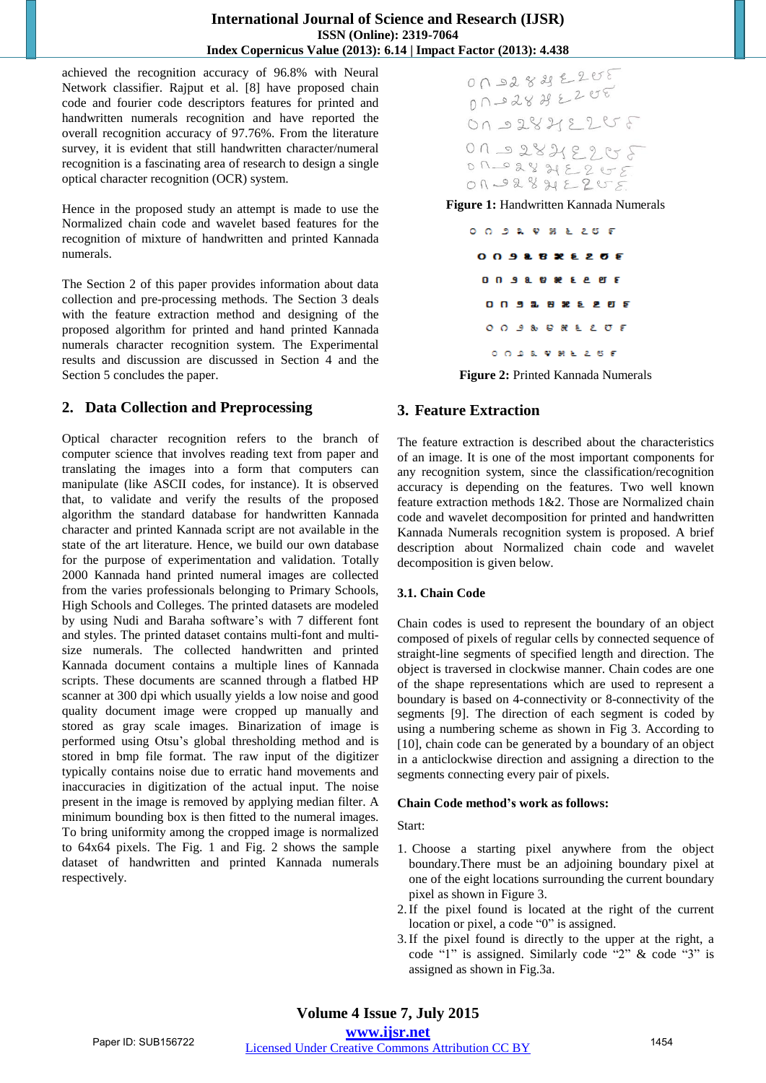achieved the recognition accuracy of 96.8% with Neural Network classifier. Rajput et al. [8] have proposed chain code and fourier code descriptors features for printed and handwritten numerals recognition and have reported the overall recognition accuracy of 97.76%. From the literature survey, it is evident that still handwritten character/numeral recognition is a fascinating area of research to design a single optical character recognition (OCR) system.

Hence in the proposed study an attempt is made to use the Normalized chain code and wavelet based features for the recognition of mixture of handwritten and printed Kannada numerals.

The Section 2 of this paper provides information about data collection and pre-processing methods. The Section 3 deals with the feature extraction method and designing of the proposed algorithm for printed and hand printed Kannada numerals character recognition system. The Experimental results and discussion are discussed in Section 4 and the Section 5 concludes the paper.

# **2. Data Collection and Preprocessing**

Optical character recognition refers to the branch of computer science that involves reading text from paper and translating the images into a form that computers can manipulate (like ASCII codes, for instance). It is observed that, to validate and verify the results of the proposed algorithm the standard database for handwritten Kannada character and printed Kannada script are not available in the state of the art literature. Hence, we build our own database for the purpose of experimentation and validation. Totally 2000 Kannada hand printed numeral images are collected from the varies professionals belonging to Primary Schools, High Schools and Colleges. The printed datasets are modeled by using Nudi and Baraha software's with 7 different font and styles. The printed dataset contains multi-font and multisize numerals. The collected handwritten and printed Kannada document contains a multiple lines of Kannada scripts. These documents are scanned through a flatbed HP scanner at 300 dpi which usually yields a low noise and good quality document image were cropped up manually and stored as gray scale images. Binarization of image is performed using Otsu's global thresholding method and is stored in bmp file format. The raw input of the digitizer typically contains noise due to erratic hand movements and inaccuracies in digitization of the actual input. The noise present in the image is removed by applying median filter. A minimum bounding box is then fitted to the numeral images. To bring uniformity among the cropped image is normalized to 64x64 pixels. The Fig. 1 and Fig. 2 shows the sample dataset of handwritten and printed Kannada numerals respectively.

 $0 \cap 0$   $389$   $205$ <br> $0 \cap 0$   $389$   $205$  $0128282255$ 

**Figure 1:** Handwritten Kannada Numerals

| $0 \t0 \t3 \t0 \t3 \t0 \t3 \t1 \t2 \t5 \t5$ |                       |  |  |  |  |
|---------------------------------------------|-----------------------|--|--|--|--|
| 0098828208                                  |                       |  |  |  |  |
| 009898889F                                  |                       |  |  |  |  |
|                                             | O N 9 & 8 & 8 & 6 & 6 |  |  |  |  |
|                                             | 009888ELUF            |  |  |  |  |
|                                             | . <i>.</i>            |  |  |  |  |

**Figure 2:** Printed Kannada Numerals

# **3. Feature Extraction**

The feature extraction is described about the characteristics of an image. It is one of the most important components for any recognition system, since the classification/recognition accuracy is depending on the features. Two well known feature extraction methods 1&2. Those are Normalized chain code and wavelet decomposition for printed and handwritten Kannada Numerals recognition system is proposed. A brief description about Normalized chain code and wavelet decomposition is given below.

## **3.1. Chain Code**

Chain codes is used to represent the boundary of an object composed of pixels of regular cells by connected sequence of straight-line segments of specified length and direction. The object is traversed in clockwise manner. Chain codes are one of the shape representations which are used to represent a boundary is based on 4-connectivity or 8-connectivity of the segments [9]. The direction of each segment is coded by using a numbering scheme as shown in Fig 3. According to [10], chain code can be generated by a boundary of an object in a anticlockwise direction and assigning a direction to the segments connecting every pair of pixels.

#### **Chain Code method's work as follows:**

Start:

- 1. Choose a starting pixel anywhere from the object boundary.There must be an adjoining boundary pixel at one of the eight locations surrounding the current boundary pixel as shown in Figure 3.
- 2.If the pixel found is located at the right of the current location or pixel, a code "0" is assigned.
- 3.If the pixel found is directly to the upper at the right, a code "1" is assigned. Similarly code "2" & code "3" is assigned as shown in Fig.3a.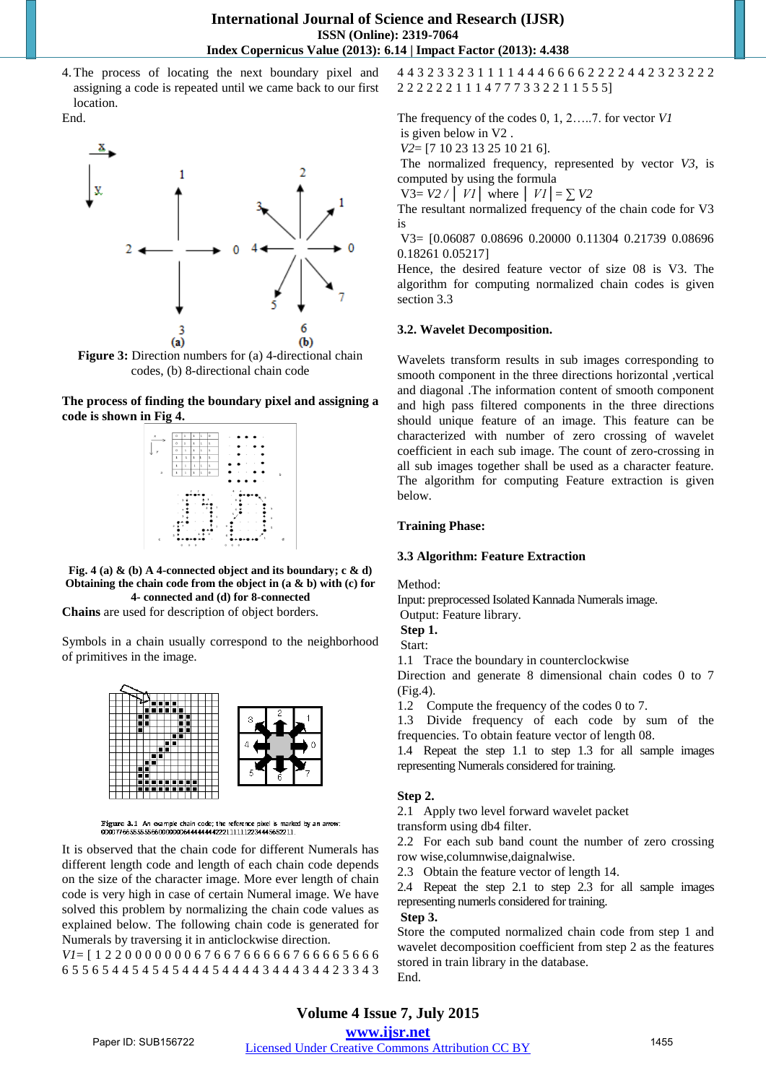4.The process of locating the next boundary pixel and assigning a code is repeated until we came back to our first location. End.



**Figure 3:** Direction numbers for (a) 4-directional chain codes, (b) 8-directional chain code

#### **The process of finding the boundary pixel and assigning a code is shown in Fig 4.**



**Fig. 4 (a) & (b) A 4-connected object and its boundary; c & d) Obtaining the chain code from the object in (a & b) with (c) for 4- connected and (d) for 8-connected** 

**Chains** are used for description of object borders.

Symbols in a chain usually correspond to the neighborhood of primitives in the image.



Figure 3.1 An example chain code; the reference pixel is marked by an arrow:<br>00007766555555660000000644444442221111112234445652211.

It is observed that the chain code for different Numerals has different length code and length of each chain code depends on the size of the character image. More ever length of chain code is very high in case of certain Numeral image. We have solved this problem by normalizing the chain code values as explained below. The following chain code is generated for Numerals by traversing it in anticlockwise direction.

*V1*= [ 1 2 2 0 0 0 0 0 0 0 6 7 6 6 7 6 6 6 6 6 7 6 6 6 6 5 6 6 6 6 5 5 6 5 4 4 5 4 5 4 5 4 4 4 5 4 4 4 4 3 4 4 4 3 4 4 2 3 3 4 3 4 4 3 2 3 3 2 3 1 1 1 1 4 4 4 6 6 6 6 2 2 2 2 4 4 2 3 2 3 2 2 2 2 2 2 2 2 2 1 1 1 4 7 7 7 3 3 2 2 1 1 5 5 5]

The frequency of the codes 0, 1, 2…..7. for vector *V1* is given below in V2 .

*V2*= [7 10 23 13 25 10 21 6].

 The normalized frequency, represented by vector *V3*, is computed by using the formula

 $V3 = V2 / |V1|$  where  $|V1| = \sum V2$ 

The resultant normalized frequency of the chain code for V3 is

V3= [0.06087 0.08696 0.20000 0.11304 0.21739 0.08696 0.18261 0.05217]

Hence, the desired feature vector of size 08 is V3. The algorithm for computing normalized chain codes is given section 3.3

#### **3.2. Wavelet Decomposition.**

Wavelets transform results in sub images corresponding to smooth component in the three directions horizontal ,vertical and diagonal .The information content of smooth component and high pass filtered components in the three directions should unique feature of an image. This feature can be characterized with number of zero crossing of wavelet coefficient in each sub image. The count of zero-crossing in all sub images together shall be used as a character feature. The algorithm for computing Feature extraction is given below.

#### **Training Phase:**

## **3.3 Algorithm: Feature Extraction**

Method:

Input: preprocessed Isolated Kannada Numerals image.

Output: Feature library.

 **Step 1.**

Start:

1.1 Trace the boundary in counterclockwise

Direction and generate 8 dimensional chain codes 0 to 7 (Fig.4).

1.2 Compute the frequency of the codes 0 to 7.

1.3 Divide frequency of each code by sum of the frequencies. To obtain feature vector of length 08.

1.4 Repeat the step 1.1 to step 1.3 for all sample images representing Numerals considered for training.

## **Step 2.**

2.1 Apply two level forward wavelet packet

transform using db4 filter.

2.2 For each sub band count the number of zero crossing row wise,columnwise,daignalwise.

2.3 Obtain the feature vector of length 14.

2.4 Repeat the step 2.1 to step 2.3 for all sample images representing numerls considered for training.

## **Step 3.**

Store the computed normalized chain code from step 1 and wavelet decomposition coefficient from step 2 as the features stored in train library in the database. End.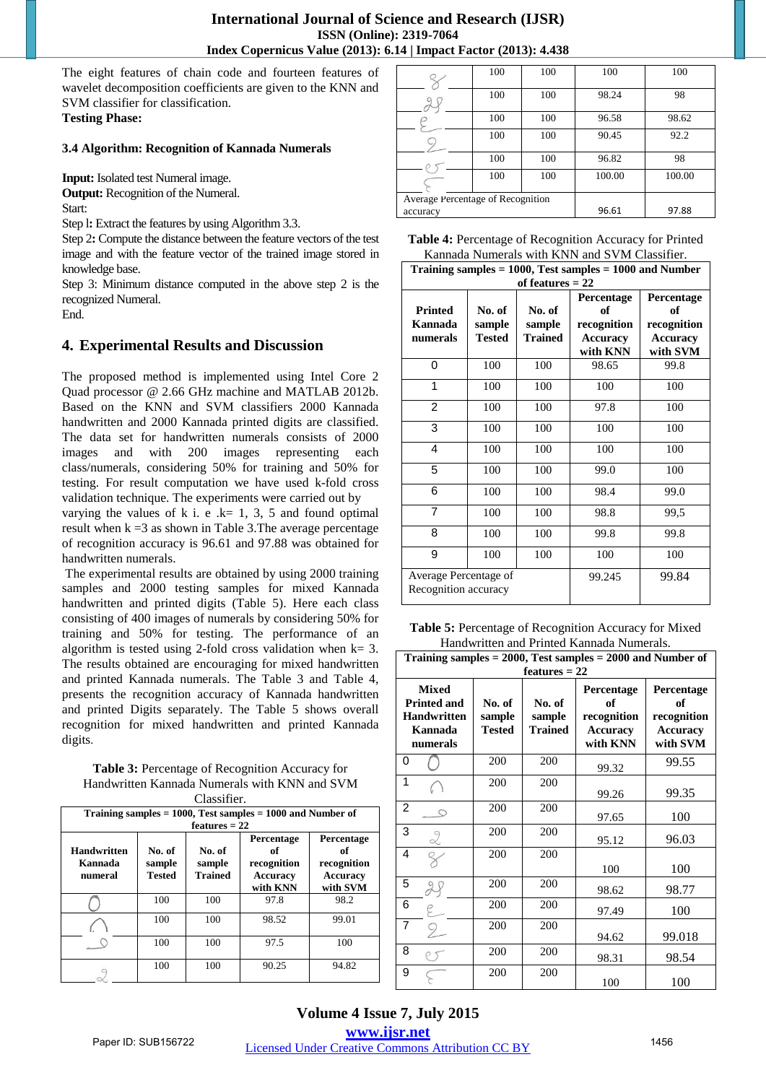The eight features of chain code and fourteen features of wavelet decomposition coefficients are given to the KNN and SVM classifier for classification. **Testing Phase:** 

#### **3.4 Algorithm: Recognition of Kannada Numerals**

**Input:** Isolated test Numeral image.

**Output:** Recognition of the Numeral.

Start:

Step l**:** Extract the features by using Algorithm 3.3.

Step 2**:** Compute the distance between the feature vectors of the test image and with the feature vector of the trained image stored in knowledge base.

Step 3: Minimum distance computed in the above step 2 is the recognized Numeral.

End.

# **4. Experimental Results and Discussion**

The proposed method is implemented using Intel Core 2 Quad processor @ 2.66 GHz machine and MATLAB 2012b. Based on the KNN and SVM classifiers 2000 Kannada handwritten and 2000 Kannada printed digits are classified. The data set for handwritten numerals consists of 2000 images and with 200 images representing each class/numerals, considering 50% for training and 50% for testing. For result computation we have used k-fold cross validation technique. The experiments were carried out by

varying the values of k i. e  $k= 1, 3, 5$  and found optimal result when  $k = 3$  as shown in Table 3. The average percentage of recognition accuracy is 96.61 and 97.88 was obtained for handwritten numerals.

 The experimental results are obtained by using 2000 training samples and 2000 testing samples for mixed Kannada handwritten and printed digits (Table 5). Here each class consisting of 400 images of numerals by considering 50% for training and 50% for testing. The performance of an algorithm is tested using 2-fold cross validation when  $k=3$ . The results obtained are encouraging for mixed handwritten and printed Kannada numerals. The Table 3 and Table 4, presents the recognition accuracy of Kannada handwritten and printed Digits separately. The Table 5 shows overall recognition for mixed handwritten and printed Kannada digits.

| <b>Table 3:</b> Percentage of Recognition Accuracy for |
|--------------------------------------------------------|
| Handwritten Kannada Numerals with KNN and SVM          |
| C <sub>local</sub>                                     |

| Classifier.                                                     |                            |                                    |                                                         |                                                         |  |  |  |  |
|-----------------------------------------------------------------|----------------------------|------------------------------------|---------------------------------------------------------|---------------------------------------------------------|--|--|--|--|
| Training samples $= 1000$ , Test samples $= 1000$ and Number of |                            |                                    |                                                         |                                                         |  |  |  |  |
|                                                                 | features $= 22$            |                                    |                                                         |                                                         |  |  |  |  |
| <b>Handwritten</b><br>Kannada<br>numeral                        | No. of<br>sample<br>Tested | No. of<br>sample<br><b>Trained</b> | Percentage<br>of<br>recognition<br>Accuracy<br>with KNN | Percentage<br>of<br>recognition<br>Accuracy<br>with SVM |  |  |  |  |
|                                                                 | 100                        | 100                                | 97.8                                                    | 98.2                                                    |  |  |  |  |
|                                                                 | 100                        | 100                                | 98.52                                                   | 99.01                                                   |  |  |  |  |
|                                                                 | 100                        | 100                                | 97.5                                                    | 100                                                     |  |  |  |  |
|                                                                 | 100                        | 100                                | 90.25                                                   | 94.82                                                   |  |  |  |  |

|                                   | 100 | 100 | 100    | 100    |
|-----------------------------------|-----|-----|--------|--------|
|                                   | 100 | 100 | 98.24  | 98     |
|                                   | 100 | 100 | 96.58  | 98.62  |
|                                   | 100 | 100 | 90.45  | 92.2   |
|                                   | 100 | 100 | 96.82  | 98     |
|                                   | 100 | 100 | 100.00 | 100.00 |
| Average Percentage of Recognition |     |     |        |        |
| accuracy                          |     |     | 96.61  | 97.88  |
|                                   |     |     |        |        |

| Table 4: Percentage of Recognition Accuracy for Printed |
|---------------------------------------------------------|
| Kannada Numerals with KNN and SVM Classifier.           |

| Training samples $= 1000$ , Test samples $= 1000$ and Number<br>of features $= 22$ |                                   |                                    |                                                                |                                                                |  |
|------------------------------------------------------------------------------------|-----------------------------------|------------------------------------|----------------------------------------------------------------|----------------------------------------------------------------|--|
| <b>Printed</b><br>Kannada<br>numerals                                              | No. of<br>sample<br><b>Tested</b> | No. of<br>sample<br><b>Trained</b> | Percentage<br>of<br>recognition<br><b>Accuracy</b><br>with KNN | Percentage<br>of<br>recognition<br><b>Accuracy</b><br>with SVM |  |
| 0                                                                                  | 100                               | 100                                | 98.65                                                          | 99.8                                                           |  |
| 1                                                                                  | 100                               | 100                                | 100                                                            | 100                                                            |  |
| $\overline{2}$                                                                     | 100                               | 100                                | 97.8                                                           | 100                                                            |  |
| 3                                                                                  | 100                               | 100                                | 100                                                            | 100                                                            |  |
| 4                                                                                  | 100                               | 100                                | 100                                                            | 100                                                            |  |
| 5                                                                                  | 100                               | 100                                | 99.0                                                           | 100                                                            |  |
| 6                                                                                  | 100                               | 100                                | 98.4                                                           | 99.0                                                           |  |
| $\overline{7}$                                                                     | 100                               | 100                                | 98.8                                                           | 99,5                                                           |  |
| 8                                                                                  | 100                               | 100                                | 99.8                                                           | 99.8                                                           |  |
| 9                                                                                  | 100                               | 100                                | 100                                                            | 100                                                            |  |
| Average Percentage of<br>Recognition accuracy                                      |                                   |                                    | 99.245                                                         | 99.84                                                          |  |

| <b>Table 5:</b> Percentage of Recognition Accuracy for Mixed |
|--------------------------------------------------------------|
| Handwritten and Printed Kannada Numerals.                    |

| Training samples $= 2000$ , Test samples $= 2000$ and Number of<br>features $= 22$ |    |                                   |                                    |                                                                |                                                                |  |
|------------------------------------------------------------------------------------|----|-----------------------------------|------------------------------------|----------------------------------------------------------------|----------------------------------------------------------------|--|
| <b>Mixed</b><br><b>Printed and</b><br><b>Handwritten</b><br>Kannada<br>numerals    |    | No. of<br>sample<br><b>Tested</b> | No. of<br>sample<br><b>Trained</b> | Percentage<br>of<br>recognition<br><b>Accuracy</b><br>with KNN | Percentage<br>of<br>recognition<br><b>Accuracy</b><br>with SVM |  |
| 0                                                                                  |    | 200                               | 200                                | 99.32                                                          | 99.55                                                          |  |
| 1                                                                                  |    | 200                               | 200                                | 99.26                                                          | 99.35                                                          |  |
| $\overline{2}$                                                                     |    | 200                               | 200                                | 97.65                                                          | 100                                                            |  |
| 3                                                                                  |    | 200                               | 200                                | 95.12                                                          | 96.03                                                          |  |
| 4                                                                                  |    | 200                               | 200                                | 100                                                            | 100                                                            |  |
| 5                                                                                  |    | 200                               | 200                                | 98.62                                                          | 98.77                                                          |  |
| 6                                                                                  |    | 200                               | 200                                | 97.49                                                          | 100                                                            |  |
| 7                                                                                  | 9_ | 200                               | 200                                | 94.62                                                          | 99.018                                                         |  |
| 8                                                                                  |    | 200                               | 200                                | 98.31                                                          | 98.54                                                          |  |
| 9                                                                                  |    | 200                               | 200                                | 100                                                            | 100                                                            |  |